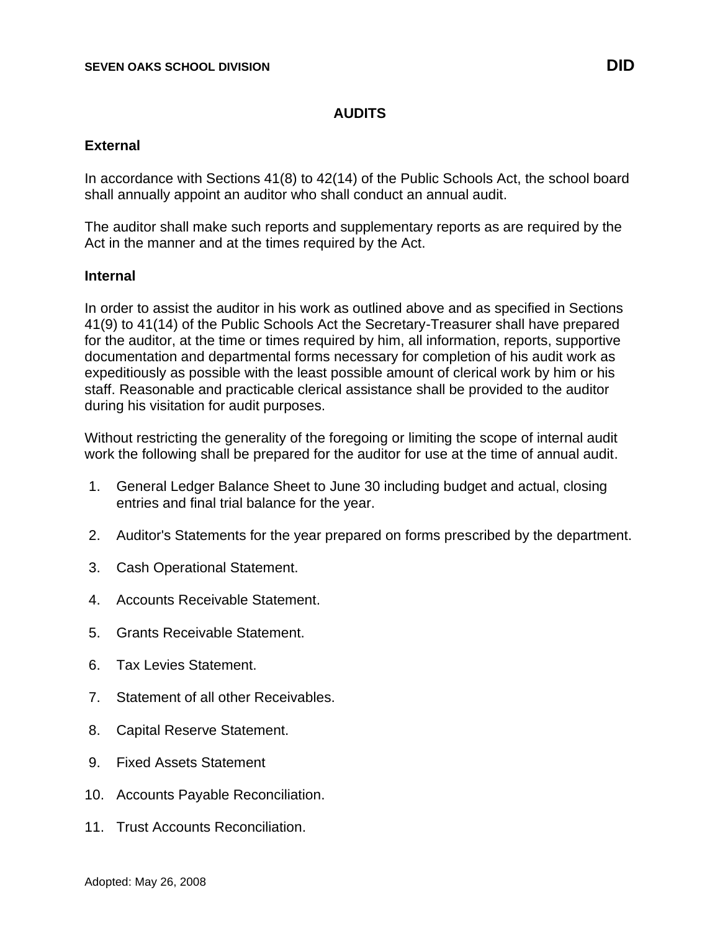## **AUDITS**

## **External**

In accordance with Sections 41(8) to 42(14) of the Public Schools Act, the school board shall annually appoint an auditor who shall conduct an annual audit.

The auditor shall make such reports and supplementary reports as are required by the Act in the manner and at the times required by the Act.

## **Internal**

In order to assist the auditor in his work as outlined above and as specified in Sections 41(9) to 41(14) of the Public Schools Act the Secretary-Treasurer shall have prepared for the auditor, at the time or times required by him, all information, reports, supportive documentation and departmental forms necessary for completion of his audit work as expeditiously as possible with the least possible amount of clerical work by him or his staff. Reasonable and practicable clerical assistance shall be provided to the auditor during his visitation for audit purposes.

Without restricting the generality of the foregoing or limiting the scope of internal audit work the following shall be prepared for the auditor for use at the time of annual audit.

- 1. General Ledger Balance Sheet to June 30 including budget and actual, closing entries and final trial balance for the year.
- 2. Auditor's Statements for the year prepared on forms prescribed by the department.
- 3. Cash Operational Statement.
- 4. Accounts Receivable Statement.
- 5. Grants Receivable Statement.
- 6. Tax Levies Statement.
- 7. Statement of all other Receivables.
- 8. Capital Reserve Statement.
- 9. Fixed Assets Statement
- 10. Accounts Payable Reconciliation.
- 11. Trust Accounts Reconciliation.